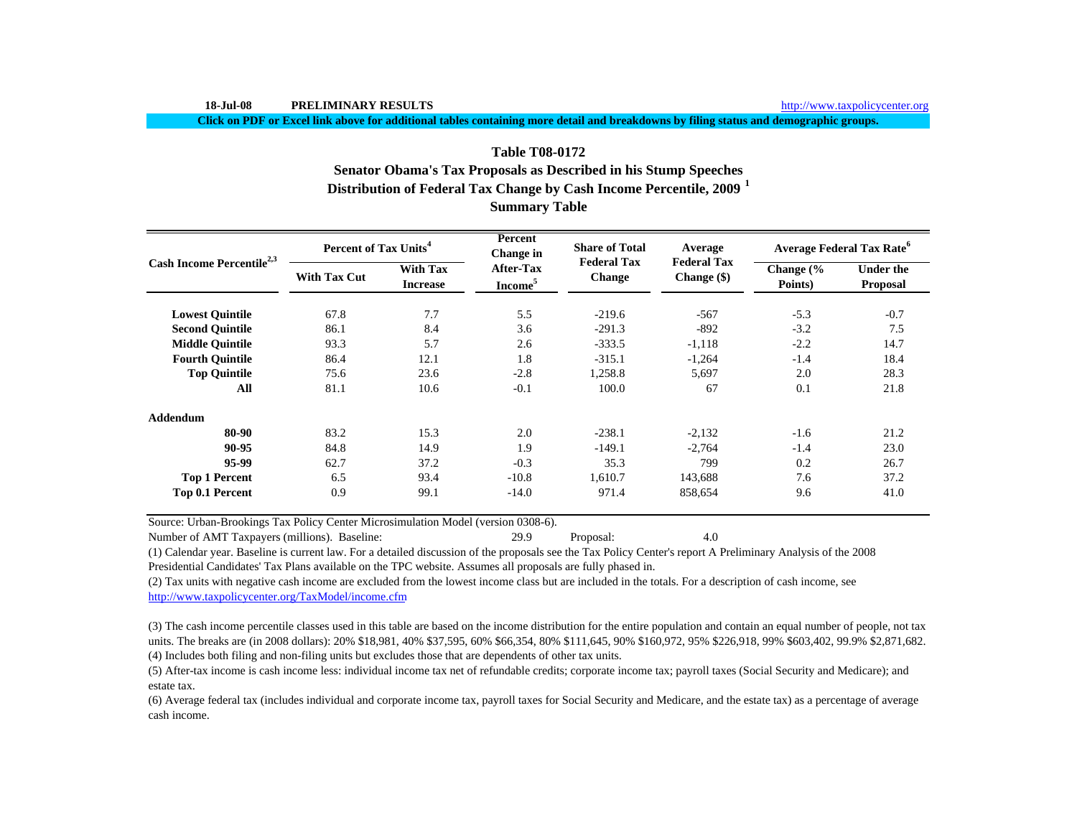**Click on PDF or Excel link above for additional tables containing more detail and breakdowns by filing status and demographic groups.**

# **Distribution of Federal Tax Change by Cash Income Percentile, 2009 <sup>1</sup> Summary Table Table T08-0172 Senator Obama's Tax Proposals as Described in his Stump Speeches**

| Cash Income Percentile <sup>2,3</sup> | Percent of Tax Units <sup>4</sup> |                                    | Percent<br><b>Change</b> in             | <b>Share of Total</b>        | Average                           | <b>Average Federal Tax Rate<sup>6</sup></b> |                              |  |
|---------------------------------------|-----------------------------------|------------------------------------|-----------------------------------------|------------------------------|-----------------------------------|---------------------------------------------|------------------------------|--|
|                                       | <b>With Tax Cut</b>               | <b>With Tax</b><br><b>Increase</b> | <b>After-Tax</b><br>Income <sup>5</sup> | <b>Federal Tax</b><br>Change | <b>Federal Tax</b><br>Change (\$) | Change $\frac{6}{6}$<br>Points)             | <b>Under the</b><br>Proposal |  |
| <b>Lowest Ouintile</b>                | 67.8                              | 7.7                                | 5.5                                     | $-219.6$                     | $-567$                            | $-5.3$                                      | $-0.7$                       |  |
| <b>Second Quintile</b>                | 86.1                              | 8.4                                | 3.6                                     | $-291.3$                     | $-892$                            | $-3.2$                                      | 7.5                          |  |
| <b>Middle Quintile</b>                | 93.3                              | 5.7                                | 2.6                                     | $-333.5$                     | $-1,118$                          | $-2.2$                                      | 14.7                         |  |
| <b>Fourth Quintile</b>                | 86.4                              | 12.1                               | 1.8                                     | $-315.1$                     | $-1,264$                          | $-1.4$                                      | 18.4                         |  |
| <b>Top Quintile</b>                   | 75.6                              | 23.6                               | $-2.8$                                  | 1,258.8                      | 5,697                             | 2.0                                         | 28.3                         |  |
| All                                   | 81.1                              | 10.6                               | $-0.1$                                  | 100.0                        | 67                                | 0.1                                         | 21.8                         |  |
| <b>Addendum</b>                       |                                   |                                    |                                         |                              |                                   |                                             |                              |  |
| 80-90                                 | 83.2                              | 15.3                               | 2.0                                     | $-238.1$                     | $-2,132$                          | $-1.6$                                      | 21.2                         |  |
| 90-95                                 | 84.8                              | 14.9                               | 1.9                                     | $-149.1$                     | $-2,764$                          | $-1.4$                                      | 23.0                         |  |
| 95-99                                 | 62.7                              | 37.2                               | $-0.3$                                  | 35.3                         | 799                               | 0.2                                         | 26.7                         |  |
| <b>Top 1 Percent</b>                  | 6.5                               | 93.4                               | $-10.8$                                 | 1,610.7                      | 143,688                           | 7.6                                         | 37.2                         |  |
| Top 0.1 Percent                       | 0.9                               | 99.1                               | $-14.0$                                 | 971.4                        | 858,654                           | 9.6                                         | 41.0                         |  |

Source: Urban-Brookings Tax Policy Center Microsimulation Model (version 0308-6).

Number of AMT Taxpayers (millions). Baseline: 29.9 Proposal: 4.0

(1) Calendar year. Baseline is current law. For a detailed discussion of the proposals see the Tax Policy Center's report A Preliminary Analysis of the 2008 Presidential Candidates' Tax Plans available on the TPC website. Assumes all proposals are fully phased in.

(2) Tax units with negative cash income are excluded from the lowest income class but are included in the totals. For a description of cash income, see http://www.taxpolicycenter.org/TaxModel/income.cfm

(4) Includes both filing and non-filing units but excludes those that are dependents of other tax units. (3) The cash income percentile classes used in this table are based on the income distribution for the entire population and contain an equal number of people, not tax units. The breaks are (in 2008 dollars): 20% \$18,981, 40% \$37,595, 60% \$66,354, 80% \$111,645, 90% \$160,972, 95% \$226,918, 99% \$603,402, 99.9% \$2,871,682.

(5) After-tax income is cash income less: individual income tax net of refundable credits; corporate income tax; payroll taxes (Social Security and Medicare); and estate tax.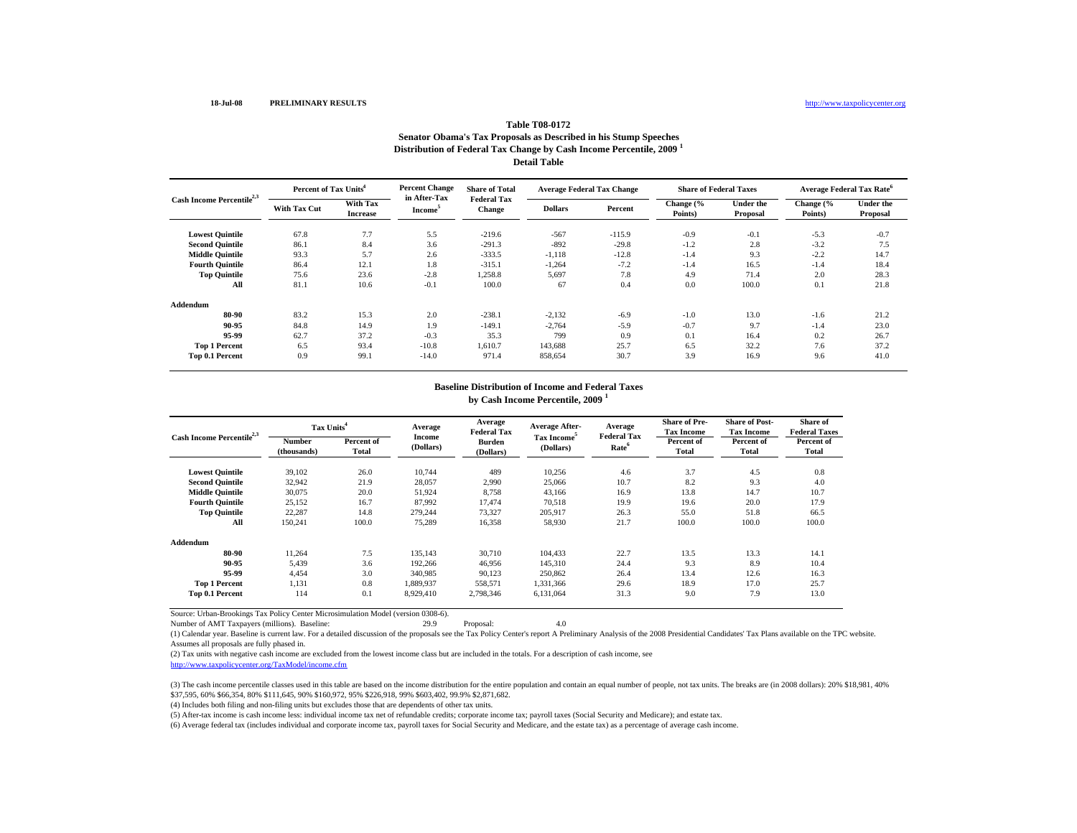## **Distribution of Federal Tax Change by Cash Income Percentile, 2009 <sup>1</sup> Detail TableTable T08-0172Senator Obama's Tax Proposals as Described in his Stump Speeches**

| Cash Income Percentile <sup>2,3</sup> |              | Percent of Tax Units <sup>4</sup>  |                                     | <b>Share of Total</b>               | <b>Average Federal Tax Change</b> |          | <b>Share of Federal Taxes</b> |                              | Average Federal Tax Rate <sup>6</sup> |                       |
|---------------------------------------|--------------|------------------------------------|-------------------------------------|-------------------------------------|-----------------------------------|----------|-------------------------------|------------------------------|---------------------------------------|-----------------------|
|                                       | With Tax Cut | <b>With Tax</b><br><b>Increase</b> | in After-Tax<br>Income <sup>5</sup> | <b>Federal Tax</b><br><b>Change</b> | <b>Dollars</b>                    | Percent  | Change (%<br>Points)          | <b>Under the</b><br>Proposal | Change (%<br>Points)                  | Under the<br>Proposal |
| <b>Lowest Quintile</b>                | 67.8         | 7.7                                | 5.5                                 | $-219.6$                            | $-567$                            | $-115.9$ | $-0.9$                        | $-0.1$                       | $-5.3$                                | $-0.7$                |
| <b>Second Quintile</b>                | 86.1         | 8.4                                | 3.6                                 | $-291.3$                            | $-892$                            | $-29.8$  | $-1.2$                        | 2.8                          | $-3.2$                                | 7.5                   |
| <b>Middle Quintile</b>                | 93.3         | 5.7                                | 2.6                                 | $-333.5$                            | $-1,118$                          | $-12.8$  | $-1.4$                        | 9.3                          | $-2.2$                                | 14.7                  |
| <b>Fourth Quintile</b>                | 86.4         | 12.1                               | 1.8                                 | $-315.1$                            | $-1,264$                          | $-7.2$   | $-1.4$                        | 16.5                         | $-1.4$                                | 18.4                  |
| <b>Top Quintile</b>                   | 75.6         | 23.6                               | $-2.8$                              | 1,258.8                             | 5,697                             | 7.8      | 4.9                           | 71.4                         | 2.0                                   | 28.3                  |
| All                                   | 81.1         | 10.6                               | $-0.1$                              | 100.0                               | 67                                | 0.4      | 0.0                           | 100.0                        | 0.1                                   | 21.8                  |
| Addendum                              |              |                                    |                                     |                                     |                                   |          |                               |                              |                                       |                       |
| 80-90                                 | 83.2         | 15.3                               | 2.0                                 | $-238.1$                            | $-2,132$                          | $-6.9$   | $-1.0$                        | 13.0                         | $-1.6$                                | 21.2                  |
| 90-95                                 | 84.8         | 14.9                               | 1.9                                 | $-149.1$                            | $-2.764$                          | $-5.9$   | $-0.7$                        | 9.7                          | $-1.4$                                | 23.0                  |
| 95-99                                 | 62.7         | 37.2                               | $-0.3$                              | 35.3                                | 799                               | 0.9      | 0.1                           | 16.4                         | 0.2                                   | 26.7                  |
| <b>Top 1 Percent</b>                  | 6.5          | 93.4                               | $-10.8$                             | 1.610.7                             | 143,688                           | 25.7     | 6.5                           | 32.2                         | 7.6                                   | 37.2                  |
| Top 0.1 Percent                       | 0.9          | 99.1                               | $-14.0$                             | 971.4                               | 858,654                           | 30.7     | 3.9                           | 16.9                         | 9.6                                   | 41.0                  |

#### **Baseline Distribution of Income and Federal Taxes by Cash Income Percentile, 2009 <sup>1</sup>**

| Cash Income Percentile <sup>2,3</sup> | Tax Units <sup>4</sup> |                     | Average                    | Average<br><b>Federal Tax</b> | <b>Average After-</b>                | Average<br><b>Federal Tax</b> | <b>Share of Pre-</b><br><b>Tax Income</b> | <b>Share of Post-</b><br><b>Tax Income</b> | Share of<br><b>Federal Taxes</b> |
|---------------------------------------|------------------------|---------------------|----------------------------|-------------------------------|--------------------------------------|-------------------------------|-------------------------------------------|--------------------------------------------|----------------------------------|
|                                       | Number<br>(thousands)  | Percent of<br>Total | <b>Income</b><br>(Dollars) | <b>Burden</b><br>(Dollars)    | Tax Income <sup>5</sup><br>(Dollars) | Rate <sup>6</sup>             | Percent of<br><b>Total</b>                | Percent of<br>Total                        | Percent of<br><b>Total</b>       |
| <b>Lowest Quintile</b>                | 39,102                 | 26.0                | 10,744                     | 489                           | 10,256                               | 4.6                           | 3.7                                       | 4.5                                        | 0.8                              |
| <b>Second Quintile</b>                | 32,942                 | 21.9                | 28,057                     | 2,990                         | 25,066                               | 10.7                          | 8.2                                       | 9.3                                        | 4.0                              |
| <b>Middle Quintile</b>                | 30,075                 | 20.0                | 51,924                     | 8.758                         | 43,166                               | 16.9                          | 13.8                                      | 14.7                                       | 10.7                             |
| <b>Fourth Quintile</b>                | 25,152                 | 16.7                | 87,992                     | 17,474                        | 70,518                               | 19.9                          | 19.6                                      | 20.0                                       | 17.9                             |
| <b>Top Quintile</b>                   | 22,287                 | 14.8                | 279,244                    | 73,327                        | 205,917                              | 26.3                          | 55.0                                      | 51.8                                       | 66.5                             |
| All                                   | 150,241                | 100.0               | 75,289                     | 16,358                        | 58,930                               | 21.7                          | 100.0                                     | 100.0                                      | 100.0                            |
| Addendum                              |                        |                     |                            |                               |                                      |                               |                                           |                                            |                                  |
| 80-90                                 | 11.264                 | 7.5                 | 135,143                    | 30,710                        | 104,433                              | 22.7                          | 13.5                                      | 13.3                                       | 14.1                             |
| 90-95                                 | 5,439                  | 3.6                 | 192,266                    | 46,956                        | 145,310                              | 24.4                          | 9.3                                       | 8.9                                        | 10.4                             |
| 95-99                                 | 4.454                  | 3.0                 | 340.985                    | 90,123                        | 250,862                              | 26.4                          | 13.4                                      | 12.6                                       | 16.3                             |
| <b>Top 1 Percent</b>                  | 1,131                  | 0.8                 | 1,889,937                  | 558,571                       | 1,331,366                            | 29.6                          | 18.9                                      | 17.0                                       | 25.7                             |
| Top 0.1 Percent                       | 114                    | 0.1                 | 8,929,410                  | 2,798,346                     | 6,131,064                            | 31.3                          | 9.0                                       | 7.9                                        | 13.0                             |

Source: Urban-Brookings Tax Policy Center Microsimulation Model (version 0308-6).

Number of AMT Taxpayers (millions). Baseline: 29.9 Proposal: 4.0

(1) Calendar year. Baseline is current law. For a detailed discussion of the proposals see the Tax Policy Center's report A Preliminary Analysis of the 2008 Presidential Candidates' Tax Plans available on the TPC website. Assumes all proposals are fully phased in.

(2) Tax units with negative cash income are excluded from the lowest income class but are included in the totals. For a description of cash income, see

http://www.taxpolicycenter.org/TaxModel/income.cfm

(3) The cash income percentile classes used in this table are based on the income distribution for the entire population and contain an equal number of people, not tax units. The breaks are (in 2008 dollars): 20% \$18,981, \$37,595, 60% \$66,354, 80% \$111,645, 90% \$160,972, 95% \$226,918, 99% \$603,402, 99.9% \$2,871,682.

(4) Includes both filing and non-filing units but excludes those that are dependents of other tax units.

(5) After-tax income is cash income less: individual income tax net of refundable credits; corporate income tax; payroll taxes (Social Security and Medicare); and estate tax.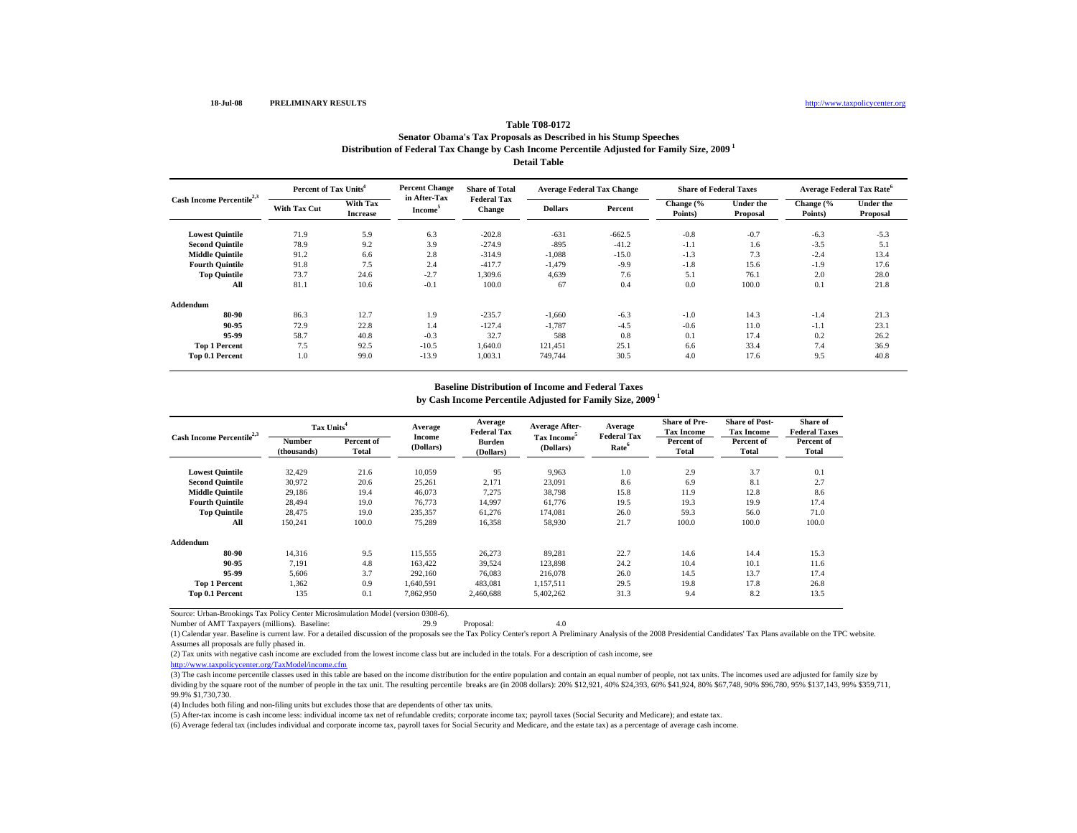## **Table T08-0172**

### **Distribution of Federal Tax Change by Cash Income Percentile Adjusted for Family Size, 2009 1 Detail TableSenator Obama's Tax Proposals as Described in his Stump Speeches**

| Cash Income Percentile <sup>2,3</sup> |                     | <b>Percent Change</b><br>Percent of Tax Units <sup>4</sup> |                                     | <b>Share of Total</b>        | <b>Average Federal Tax Change</b> |          | <b>Share of Federal Taxes</b> |                       | <b>Average Federal Tax Rate<sup>6</sup></b> |                              |
|---------------------------------------|---------------------|------------------------------------------------------------|-------------------------------------|------------------------------|-----------------------------------|----------|-------------------------------|-----------------------|---------------------------------------------|------------------------------|
|                                       | <b>With Tax Cut</b> | <b>With Tax</b><br><b>Increase</b>                         | in After-Tax<br>Income <sup>3</sup> | <b>Federal Tax</b><br>Change | <b>Dollars</b>                    | Percent  | Change (%<br>Points)          | Under the<br>Proposal | Change (%<br>Points)                        | <b>Under the</b><br>Proposal |
| <b>Lowest Quintile</b>                | 71.9                | 5.9                                                        | 6.3                                 | $-202.8$                     | $-631$                            | $-662.5$ | $-0.8$                        | $-0.7$                | $-6.3$                                      | $-5.3$                       |
| <b>Second Quintile</b>                | 78.9                | 9.2                                                        | 3.9                                 | $-274.9$                     | $-895$                            | $-41.2$  | $-1.1$                        | 1.6                   | $-3.5$                                      | 5.1                          |
| <b>Middle Quintile</b>                | 91.2                | 6.6                                                        | 2.8                                 | $-314.9$                     | $-1,088$                          | $-15.0$  | $-1.3$                        | 7.3                   | $-2.4$                                      | 13.4                         |
| <b>Fourth Quintile</b>                | 91.8                | 7.5                                                        | 2.4                                 | $-417.7$                     | $-1,479$                          | $-9.9$   | $-1.8$                        | 15.6                  | $-1.9$                                      | 17.6                         |
| <b>Top Quintile</b>                   | 73.7                | 24.6                                                       | $-2.7$                              | 1.309.6                      | 4,639                             | 7.6      | 5.1                           | 76.1                  | 2.0                                         | 28.0                         |
| All                                   | 81.1                | 10.6                                                       | $-0.1$                              | 100.0                        | 67                                | 0.4      | 0.0                           | 100.0                 | 0.1                                         | 21.8                         |
| Addendum                              |                     |                                                            |                                     |                              |                                   |          |                               |                       |                                             |                              |
| 80-90                                 | 86.3                | 12.7                                                       | 1.9                                 | $-235.7$                     | $-1,660$                          | $-6.3$   | $-1.0$                        | 14.3                  | $-1.4$                                      | 21.3                         |
| 90-95                                 | 72.9                | 22.8                                                       | 1.4                                 | $-127.4$                     | $-1,787$                          | $-4.5$   | $-0.6$                        | 11.0                  | $-1.1$                                      | 23.1                         |
| 95-99                                 | 58.7                | 40.8                                                       | $-0.3$                              | 32.7                         | 588                               | 0.8      | 0.1                           | 17.4                  | 0.2                                         | 26.2                         |
| <b>Top 1 Percent</b>                  | 7.5                 | 92.5                                                       | $-10.5$                             | 1.640.0                      | 121,451                           | 25.1     | 6.6                           | 33.4                  | 7.4                                         | 36.9                         |
| Top 0.1 Percent                       | 1.0                 | 99.0                                                       | $-13.9$                             | 1.003.1                      | 749,744                           | 30.5     | 4.0                           | 17.6                  | 9.5                                         | 40.8                         |

#### **by Cash Income Percentile Adjusted for Family Size, 2009 1 Baseline Distribution of Income and Federal Taxes**

|                                       | Tax Units <sup>4</sup>       |                     | Average                    | Average<br><b>Federal Tax</b> | <b>Average After-</b>                | Average<br><b>Federal Tax</b> | <b>Share of Pre-</b><br><b>Tax Income</b> | <b>Share of Post-</b><br><b>Tax Income</b> | Share of<br><b>Federal Taxes</b> |  |
|---------------------------------------|------------------------------|---------------------|----------------------------|-------------------------------|--------------------------------------|-------------------------------|-------------------------------------------|--------------------------------------------|----------------------------------|--|
| Cash Income Percentile <sup>2,3</sup> | <b>Number</b><br>(thousands) | Percent of<br>Total | <b>Income</b><br>(Dollars) | <b>Burden</b><br>(Dollars)    | Tax Income <sup>5</sup><br>(Dollars) | Rate <sup>6</sup>             | Percent of<br>Total                       | Percent of<br>Total                        | Percent of<br>Total              |  |
| <b>Lowest Quintile</b>                | 32,429                       | 21.6                | 10.059                     | 95                            | 9,963                                | 1.0                           | 2.9                                       | 3.7                                        | 0.1                              |  |
| <b>Second Quintile</b>                | 30,972                       | 20.6                | 25,261                     | 2,171                         | 23,091                               | 8.6                           | 6.9                                       | 8.1                                        | 2.7                              |  |
| <b>Middle Quintile</b>                | 29,186                       | 19.4                | 46,073                     | 7,275                         | 38,798                               | 15.8                          | 11.9                                      | 12.8                                       | 8.6                              |  |
| <b>Fourth Quintile</b>                | 28,494                       | 19.0                | 76,773                     | 14,997                        | 61,776                               | 19.5                          | 19.3                                      | 19.9                                       | 17.4                             |  |
| <b>Top Quintile</b>                   | 28,475                       | 19.0                | 235,357                    | 61,276                        | 174,081                              | 26.0                          | 59.3                                      | 56.0                                       | 71.0                             |  |
| All                                   | 150,241                      | 100.0               | 75,289                     | 16,358                        | 58,930                               | 21.7                          | 100.0                                     | 100.0                                      | 100.0                            |  |
| Addendum                              |                              |                     |                            |                               |                                      |                               |                                           |                                            |                                  |  |
| 80-90                                 | 14.316                       | 9.5                 | 115,555                    | 26,273                        | 89.281                               | 22.7                          | 14.6                                      | 14.4                                       | 15.3                             |  |
| 90-95                                 | 7.191                        | 4.8                 | 163,422                    | 39,524                        | 123,898                              | 24.2                          | 10.4                                      | 10.1                                       | 11.6                             |  |
| 95-99                                 | 5,606                        | 3.7                 | 292,160                    | 76.083                        | 216,078                              | 26.0                          | 14.5                                      | 13.7                                       | 17.4                             |  |
| <b>Top 1 Percent</b>                  | 1,362                        | 0.9                 | 1,640,591                  | 483,081                       | 1,157,511                            | 29.5                          | 19.8                                      | 17.8                                       | 26.8                             |  |
| <b>Top 0.1 Percent</b>                | 135                          | 0.1                 | 7.862.950                  | 2.460.688                     | 5,402,262                            | 31.3                          | 9.4                                       | 8.2                                        | 13.5                             |  |

Source: Urban-Brookings Tax Policy Center Microsimulation Model (version 0308-6).

(1) Calendar year. Baseline is current law. For a detailed discussion of the proposals see the Tax Policy Center's report A Preliminary Analysis of the 2008 Presidential Candidates' Tax Plans available on the TPC website. Assumes all proposals are fully phased in.

(2) Tax units with negative cash income are excluded from the lowest income class but are included in the totals. For a description of cash income, see

http://www.taxpolicycenter.org/TaxModel/income.cfm

(3) The cash income percentile classes used in this table are based on the income distribution for the entire population and contain an equal number of people, not tax units. The incomes used are adjusted for family size b dividing by the square root of the number of people in the tax unit. The resulting percentile breaks are (in 2008 dollars): 20% \$12,921, 40% \$24,393, 60% \$41,924, 80% \$67,748, 90% \$96,780, 95% \$137,143, 99% \$359,711, 99.9% \$1,730,730.

(4) Includes both filing and non-filing units but excludes those that are dependents of other tax units.

(5) After-tax income is cash income less: individual income tax net of refundable credits; corporate income tax; payroll taxes (Social Security and Medicare); and estate tax.

Number of AMT Taxpayers (millions). Baseline: 29.9 Proposal: 4.0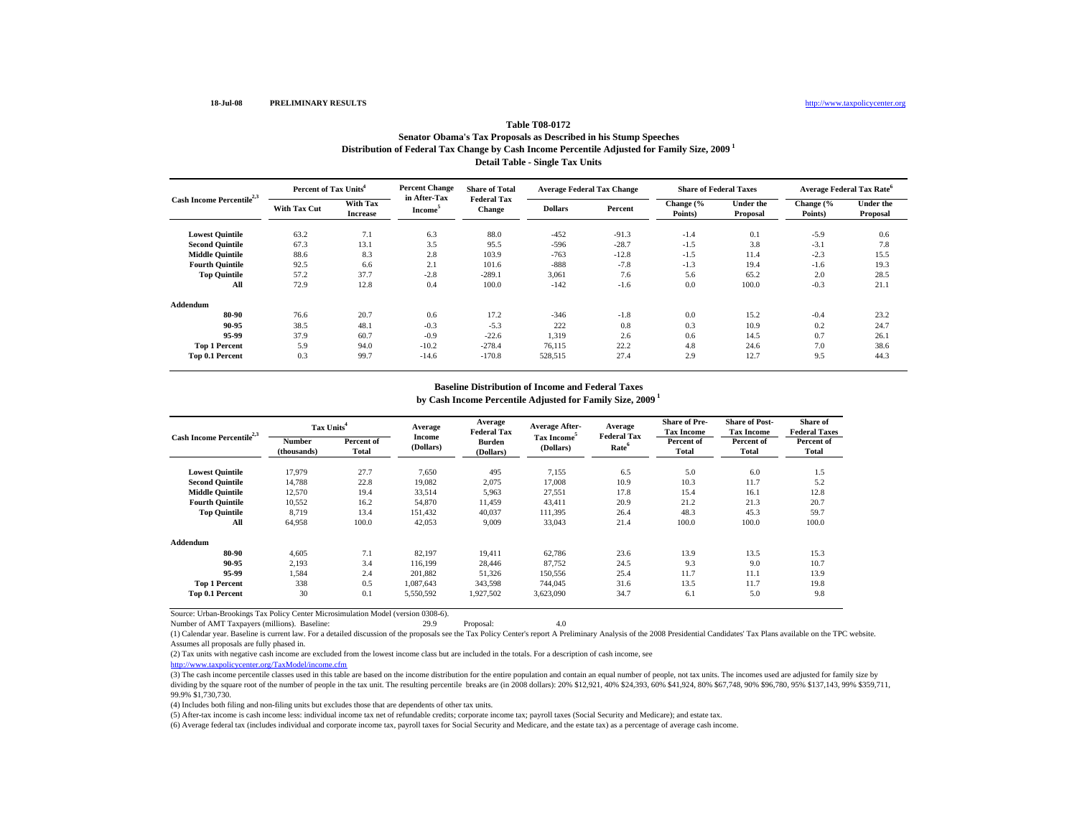## **Table T08-0172**

## **Distribution of Federal Tax Change by Cash Income Percentile Adjusted for Family Size, 2009 1 Detail Table - Single Tax Units Senator Obama's Tax Proposals as Described in his Stump Speeches**

|                                       | Percent of Tax Units <sup>4</sup> |                             | <b>Percent Change</b>               | <b>Share of Total</b>        | <b>Average Federal Tax Change</b> |         | <b>Share of Federal Taxes</b> |                       | <b>Average Federal Tax Rate<sup>6</sup></b> |                              |
|---------------------------------------|-----------------------------------|-----------------------------|-------------------------------------|------------------------------|-----------------------------------|---------|-------------------------------|-----------------------|---------------------------------------------|------------------------------|
| Cash Income Percentile <sup>2,3</sup> | <b>With Tax Cut</b>               | With Tax<br><b>Increase</b> | in After-Tax<br>Income <sup>3</sup> | <b>Federal Tax</b><br>Change | <b>Dollars</b>                    | Percent | Change (%<br>Points)          | Under the<br>Proposal | Change (%<br>Points)                        | <b>Under the</b><br>Proposal |
| <b>Lowest Quintile</b>                | 63.2                              | 7.1                         | 6.3                                 | 88.0                         | $-452$                            | $-91.3$ | $-1.4$                        | 0.1                   | $-5.9$                                      | 0.6                          |
| <b>Second Quintile</b>                | 67.3                              | 13.1                        | 3.5                                 | 95.5                         | $-596$                            | $-28.7$ | $-1.5$                        | 3.8                   | $-3.1$                                      | 7.8                          |
| <b>Middle Quintile</b>                | 88.6                              | 8.3                         | 2.8                                 | 103.9                        | $-763$                            | $-12.8$ | $-1.5$                        | 11.4                  | $-2.3$                                      | 15.5                         |
| <b>Fourth Quintile</b>                | 92.5                              | 6.6                         | 2.1                                 | 101.6                        | $-888$                            | $-7.8$  | $-1.3$                        | 19.4                  | $-1.6$                                      | 19.3                         |
| <b>Top Quintile</b>                   | 57.2                              | 37.7                        | $-2.8$                              | $-289.1$                     | 3,061                             | 7.6     | 5.6                           | 65.2                  | 2.0                                         | 28.5                         |
| All                                   | 72.9                              | 12.8                        | 0.4                                 | 100.0                        | $-142$                            | $-1.6$  | 0.0                           | 100.0                 | $-0.3$                                      | 21.1                         |
| Addendum                              |                                   |                             |                                     |                              |                                   |         |                               |                       |                                             |                              |
| 80-90                                 | 76.6                              | 20.7                        | 0.6                                 | 17.2                         | $-346$                            | $-1.8$  | 0.0                           | 15.2                  | $-0.4$                                      | 23.2                         |
| 90-95                                 | 38.5                              | 48.1                        | $-0.3$                              | $-5.3$                       | 222                               | 0.8     | 0.3                           | 10.9                  | 0.2                                         | 24.7                         |
| 95-99                                 | 37.9                              | 60.7                        | $-0.9$                              | $-22.6$                      | 1,319                             | 2.6     | 0.6                           | 14.5                  | 0.7                                         | 26.1                         |
| <b>Top 1 Percent</b>                  | 5.9                               | 94.0                        | $-10.2$                             | $-278.4$                     | 76,115                            | 22.2    | 4.8                           | 24.6                  | 7.0                                         | 38.6                         |
| <b>Top 0.1 Percent</b>                | 0.3                               | 99.7                        | $-14.6$                             | $-170.8$                     | 528,515                           | 27.4    | 2.9                           | 12.7                  | 9.5                                         | 44.3                         |

#### **by Cash Income Percentile Adjusted for Family Size, 2009 1 Baseline Distribution of Income and Federal Taxes**

|                                       | Tax Units <sup>4</sup>       |                     | Average             | Average<br><b>Federal Tax</b> | <b>Average After-</b>                | Average<br><b>Federal Tax</b> | <b>Share of Pre-</b><br><b>Tax Income</b> | <b>Share of Post-</b><br><b>Tax Income</b> | Share of<br><b>Federal Taxes</b> |  |
|---------------------------------------|------------------------------|---------------------|---------------------|-------------------------------|--------------------------------------|-------------------------------|-------------------------------------------|--------------------------------------------|----------------------------------|--|
| Cash Income Percentile <sup>2,3</sup> | <b>Number</b><br>(thousands) | Percent of<br>Total | Income<br>(Dollars) | <b>Burden</b><br>(Dollars)    | Tax Income <sup>5</sup><br>(Dollars) | Rate <sup>6</sup>             | Percent of<br>Total                       | Percent of<br>Total                        | Percent of<br>Total              |  |
| <b>Lowest Quintile</b>                | 17,979                       | 27.7                | 7,650               | 495                           | 7,155                                | 6.5                           | 5.0                                       | 6.0                                        | 1.5                              |  |
| <b>Second Quintile</b>                | 14,788                       | 22.8                | 19,082              | 2,075                         | 17,008                               | 10.9                          | 10.3                                      | 11.7                                       | 5.2                              |  |
| <b>Middle Quintile</b>                | 12,570                       | 19.4                | 33,514              | 5,963                         | 27,551                               | 17.8                          | 15.4                                      | 16.1                                       | 12.8                             |  |
| <b>Fourth Quintile</b>                | 10,552                       | 16.2                | 54,870              | 11.459                        | 43,411                               | 20.9                          | 21.2                                      | 21.3                                       | 20.7                             |  |
| <b>Top Quintile</b>                   | 8,719                        | 13.4                | 151,432             | 40.037                        | 111,395                              | 26.4                          | 48.3                                      | 45.3                                       | 59.7                             |  |
| All                                   | 64,958                       | 100.0               | 42,053              | 9,009                         | 33,043                               | 21.4                          | 100.0                                     | 100.0                                      | 100.0                            |  |
| Addendum                              |                              |                     |                     |                               |                                      |                               |                                           |                                            |                                  |  |
| 80-90                                 | 4,605                        | 7.1                 | 82,197              | 19.411                        | 62,786                               | 23.6                          | 13.9                                      | 13.5                                       | 15.3                             |  |
| 90-95                                 | 2.193                        | 3.4                 | 116.199             | 28.446                        | 87.752                               | 24.5                          | 9.3                                       | 9.0                                        | 10.7                             |  |
| 95-99                                 | 1.584                        | 2.4                 | 201.882             | 51,326                        | 150.556                              | 25.4                          | 11.7                                      | 11.1                                       | 13.9                             |  |
| <b>Top 1 Percent</b>                  | 338                          | 0.5                 | 1,087,643           | 343,598                       | 744,045                              | 31.6                          | 13.5                                      | 11.7                                       | 19.8                             |  |
| <b>Top 0.1 Percent</b>                | 30                           | 0.1                 | 5,550,592           | 1,927,502                     | 3,623,090                            | 34.7                          | 6.1                                       | 5.0                                        | 9.8                              |  |

Source: Urban-Brookings Tax Policy Center Microsimulation Model (version 0308-6).

(1) Calendar year. Baseline is current law. For a detailed discussion of the proposals see the Tax Policy Center's report A Preliminary Analysis of the 2008 Presidential Candidates' Tax Plans available on the TPC website. Assumes all proposals are fully phased in.

(2) Tax units with negative cash income are excluded from the lowest income class but are included in the totals. For a description of cash income, see

http://www.taxpolicycenter.org/TaxModel/income.cfm

(3) The cash income percentile classes used in this table are based on the income distribution for the entire population and contain an equal number of people, not tax units. The incomes used are adjusted for family size b dividing by the square root of the number of people in the tax unit. The resulting percentile breaks are (in 2008 dollars): 20% \$12,921, 40% \$24,393, 60% \$41,924, 80% \$67,748, 90% \$96,780, 95% \$137,143, 99% \$359,711, 99.9% \$1,730,730.

(4) Includes both filing and non-filing units but excludes those that are dependents of other tax units.

(5) After-tax income is cash income less: individual income tax net of refundable credits; corporate income tax; payroll taxes (Social Security and Medicare); and estate tax.

Number of AMT Taxpayers (millions). Baseline: 29.9 Proposal: 4.0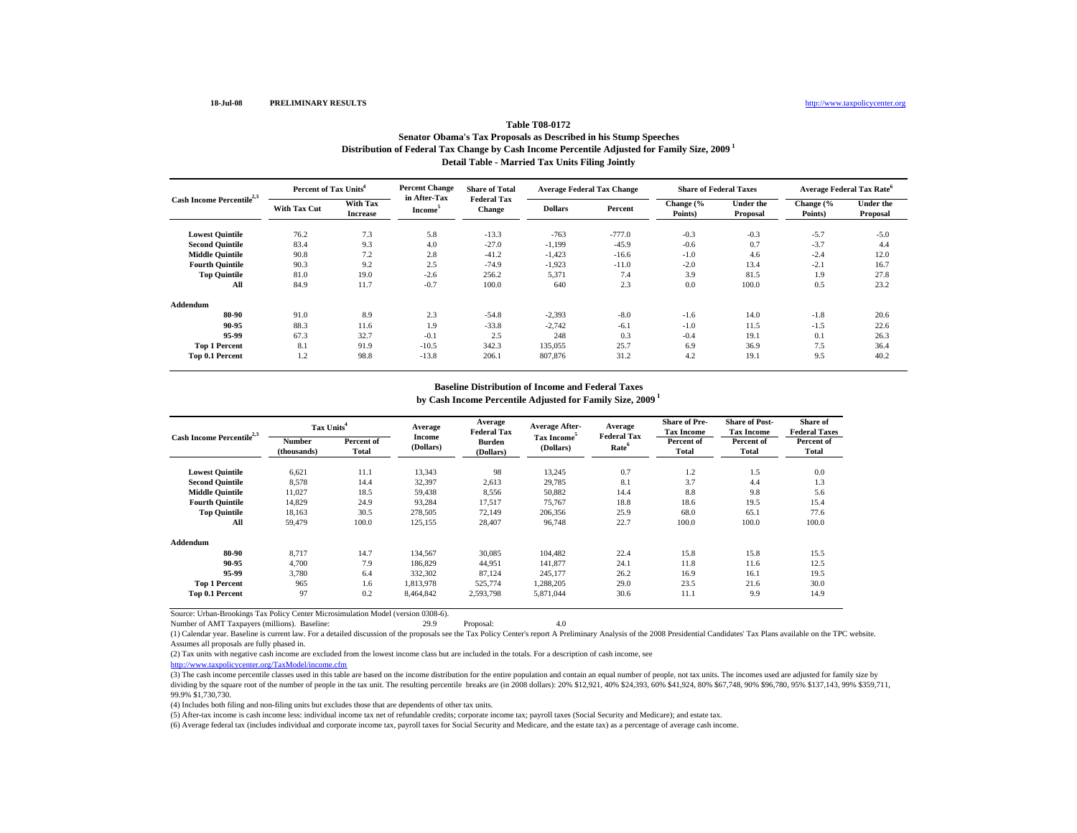## **Table T08-0172**

## **Distribution of Federal Tax Change by Cash Income Percentile Adjusted for Family Size, 2009 1 Detail Table - Married Tax Units Filing Jointly Senator Obama's Tax Proposals as Described in his Stump Speeches**

| Cash Income Percentile <sup>2,3</sup> |                     | Percent of Tax Units <sup>4</sup>  |                                            | <b>Share of Total</b>               | <b>Average Federal Tax Change</b> |          | <b>Share of Federal Taxes</b> |                              | Average Federal Tax Rate <sup>6</sup> |                       |
|---------------------------------------|---------------------|------------------------------------|--------------------------------------------|-------------------------------------|-----------------------------------|----------|-------------------------------|------------------------------|---------------------------------------|-----------------------|
|                                       | <b>With Tax Cut</b> | <b>With Tax</b><br><b>Increase</b> | in After-Tax<br><b>Income</b> <sup>5</sup> | <b>Federal Tax</b><br><b>Change</b> | <b>Dollars</b>                    | Percent  | Change (%<br>Points)          | <b>Under the</b><br>Proposal | Change (%<br>Points)                  | Under the<br>Proposal |
| <b>Lowest Quintile</b>                | 76.2                | 7.3                                | 5.8                                        | $-13.3$                             | $-763$                            | $-777.0$ | $-0.3$                        | $-0.3$                       | $-5.7$                                | $-5.0$                |
| <b>Second Quintile</b>                | 83.4                | 9.3                                | 4.0                                        | $-27.0$                             | $-1,199$                          | $-45.9$  | $-0.6$                        | 0.7                          | $-3.7$                                | 4.4                   |
| <b>Middle Quintile</b>                | 90.8                | 7.2                                | 2.8                                        | $-41.2$                             | $-1,423$                          | $-16.6$  | $-1.0$                        | 4.6                          | $-2.4$                                | 12.0                  |
| <b>Fourth Quintile</b>                | 90.3                | 9.2                                | 2.5                                        | $-74.9$                             | $-1,923$                          | $-11.0$  | $-2.0$                        | 13.4                         | $-2.1$                                | 16.7                  |
| <b>Top Quintile</b>                   | 81.0                | 19.0                               | $-2.6$                                     | 256.2                               | 5,371                             | 7.4      | 3.9                           | 81.5                         | 1.9                                   | 27.8                  |
| All                                   | 84.9                | 11.7                               | $-0.7$                                     | 100.0                               | 640                               | 2.3      | 0.0                           | 100.0                        | 0.5                                   | 23.2                  |
| Addendum                              |                     |                                    |                                            |                                     |                                   |          |                               |                              |                                       |                       |
| 80-90                                 | 91.0                | 8.9                                | 2.3                                        | $-54.8$                             | $-2,393$                          | $-8.0$   | $-1.6$                        | 14.0                         | $-1.8$                                | 20.6                  |
| 90-95                                 | 88.3                | 11.6                               | 1.9                                        | $-33.8$                             | $-2,742$                          | $-6.1$   | $-1.0$                        | 11.5                         | $-1.5$                                | 22.6                  |
| 95-99                                 | 67.3                | 32.7                               | $-0.1$                                     | 2.5                                 | 248                               | 0.3      | $-0.4$                        | 19.1                         | 0.1                                   | 26.3                  |
| <b>Top 1 Percent</b>                  | 8.1                 | 91.9                               | $-10.5$                                    | 342.3                               | 135,055                           | 25.7     | 6.9                           | 36.9                         | 7.5                                   | 36.4                  |
| Top 0.1 Percent                       | 1.2                 | 98.8                               | $-13.8$                                    | 206.1                               | 807,876                           | 31.2     | 4.2                           | 19.1                         | 9.5                                   | 40.2                  |

## **Baseline Distribution of Income and Federal Taxes**

**by Cash Income Percentile Adjusted for Family Size, 2009 1**

| Cash Income Percentile <sup>2,3</sup> | Tax Units <sup>4</sup> |                     | Average             | Average<br><b>Federal Tax</b> | <b>Average After-</b>                | Average<br><b>Federal Tax</b> | <b>Share of Pre-</b><br><b>Tax Income</b> | <b>Share of Post-</b><br><b>Tax Income</b> | Share of<br><b>Federal Taxes</b> |
|---------------------------------------|------------------------|---------------------|---------------------|-------------------------------|--------------------------------------|-------------------------------|-------------------------------------------|--------------------------------------------|----------------------------------|
|                                       | Number<br>(thousands)  | Percent of<br>Total | Income<br>(Dollars) | <b>Burden</b><br>(Dollars)    | Tax Income <sup>5</sup><br>(Dollars) | Rate <sup>6</sup>             | Percent of<br>Total                       | Percent of<br>Total                        | Percent of<br>Total              |
| <b>Lowest Quintile</b>                | 6,621                  | 11.1                | 13,343              | 98                            | 13,245                               | 0.7                           | 1.2                                       | 1.5                                        | 0.0                              |
| <b>Second Quintile</b>                | 8,578                  | 14.4                | 32,397              | 2,613                         | 29,785                               | 8.1                           | 3.7                                       | 4.4                                        | 1.3                              |
| <b>Middle Quintile</b>                | 11,027                 | 18.5                | 59,438              | 8,556                         | 50,882                               | 14.4                          | 8.8                                       | 9.8                                        | 5.6                              |
| <b>Fourth Quintile</b>                | 14,829                 | 24.9                | 93,284              | 17,517                        | 75,767                               | 18.8                          | 18.6                                      | 19.5                                       | 15.4                             |
| <b>Top Quintile</b>                   | 18,163                 | 30.5                | 278,505             | 72,149                        | 206,356                              | 25.9                          | 68.0                                      | 65.1                                       | 77.6                             |
| All                                   | 59.479                 | 100.0               | 125,155             | 28,407                        | 96,748                               | 22.7                          | 100.0                                     | 100.0                                      | 100.0                            |
| Addendum                              |                        |                     |                     |                               |                                      |                               |                                           |                                            |                                  |
| 80-90                                 | 8.717                  | 14.7                | 134,567             | 30,085                        | 104,482                              | 22.4                          | 15.8                                      | 15.8                                       | 15.5                             |
| 90-95                                 | 4.700                  | 7.9                 | 186,829             | 44,951                        | 141,877                              | 24.1                          | 11.8                                      | 11.6                                       | 12.5                             |
| 95-99                                 | 3.780                  | 6.4                 | 332,302             | 87,124                        | 245,177                              | 26.2                          | 16.9                                      | 16.1                                       | 19.5                             |
| <b>Top 1 Percent</b>                  | 965                    | 1.6                 | 1,813,978           | 525,774                       | 1,288,205                            | 29.0                          | 23.5                                      | 21.6                                       | 30.0                             |
| Top 0.1 Percent                       | 97                     | 0.2                 | 8,464,842           | 2,593,798                     | 5,871,044                            | 30.6                          | 11.1                                      | 9.9                                        | 14.9                             |

Source: Urban-Brookings Tax Policy Center Microsimulation Model (version 0308-6).

(1) Calendar year. Baseline is current law. For a detailed discussion of the proposals see the Tax Policy Center's report A Preliminary Analysis of the 2008 Presidential Candidates' Tax Plans available on the TPC website. Assumes all proposals are fully phased in.

(2) Tax units with negative cash income are excluded from the lowest income class but are included in the totals. For a description of cash income, see

http://www.taxpolicycenter.org/TaxModel/income.cfm

(3) The cash income percentile classes used in this table are based on the income distribution for the entire population and contain an equal number of people, not tax units. The incomes used are adjusted for family size b dividing by the square root of the number of people in the tax unit. The resulting percentile breaks are (in 2008 dollars): 20% \$12,921, 40% \$24,393, 60% \$41,924, 80% \$67,748, 90% \$96,780, 95% \$137,143, 99% \$359,711, 99.9% \$1,730,730.

(4) Includes both filing and non-filing units but excludes those that are dependents of other tax units.

(5) After-tax income is cash income less: individual income tax net of refundable credits; corporate income tax; payroll taxes (Social Security and Medicare); and estate tax.

Number of AMT Taxpayers (millions). Baseline: 29.9 Proposal: 4.0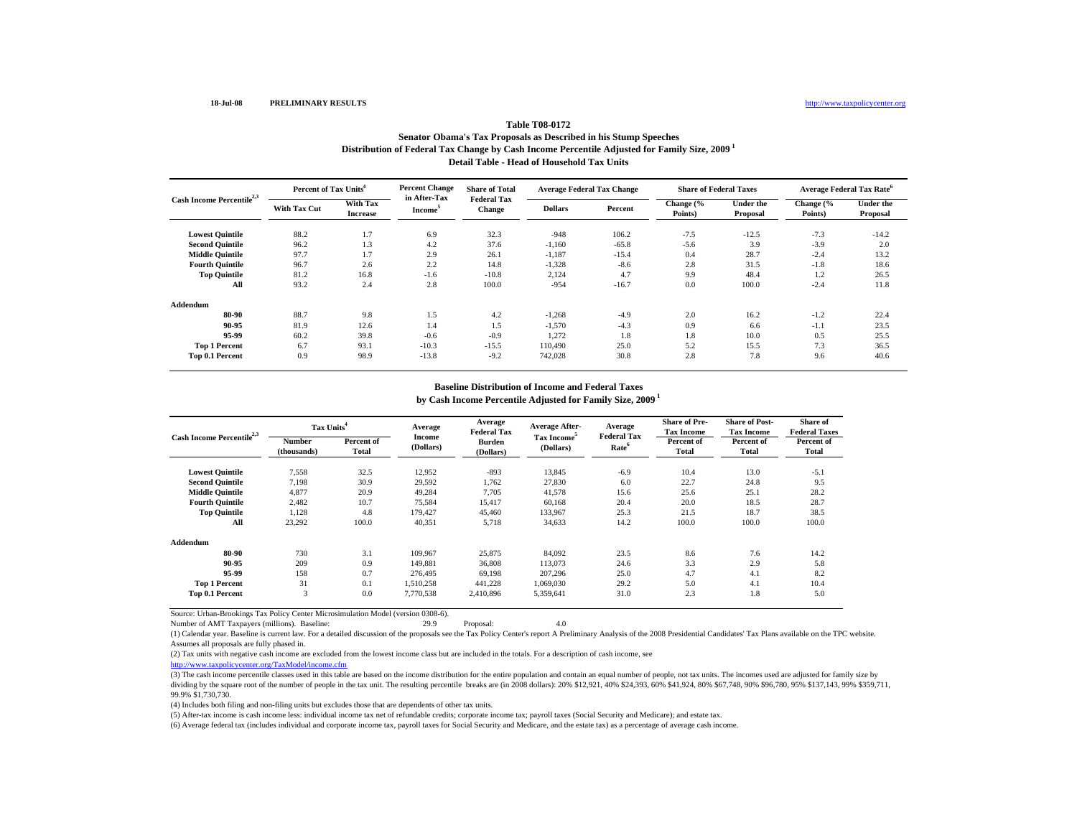## **Table T08-0172**

### **Distribution of Federal Tax Change by Cash Income Percentile Adjusted for Family Size, 2009 1 Detail Table - Head of Household Tax UnitsSenator Obama's Tax Proposals as Described in his Stump Speeches**

| Cash Income Percentile <sup>2,3</sup> | Percent of Tax Units <sup>4</sup> |                             | <b>Percent Change</b>               | <b>Share of Total</b>        | <b>Average Federal Tax Change</b> |         | <b>Share of Federal Taxes</b> |                       | <b>Average Federal Tax Rate<sup>6</sup></b> |                              |
|---------------------------------------|-----------------------------------|-----------------------------|-------------------------------------|------------------------------|-----------------------------------|---------|-------------------------------|-----------------------|---------------------------------------------|------------------------------|
|                                       | With Tax Cut                      | With Tax<br><b>Increase</b> | in After-Tax<br>Income <sup>5</sup> | <b>Federal Tax</b><br>Change | <b>Dollars</b>                    | Percent | Change (%<br>Points)          | Under the<br>Proposal | Change (%<br>Points)                        | <b>Under the</b><br>Proposal |
| <b>Lowest Quintile</b>                | 88.2                              | 1.7                         | 6.9                                 | 32.3                         | $-948$                            | 106.2   | $-7.5$                        | $-12.5$               | $-7.3$                                      | $-14.2$                      |
| <b>Second Quintile</b>                | 96.2                              | 1.3                         | 4.2                                 | 37.6                         | $-1,160$                          | $-65.8$ | $-5.6$                        | 3.9                   | $-3.9$                                      | 2.0                          |
| <b>Middle Quintile</b>                | 97.7                              | 1.7                         | 2.9                                 | 26.1                         | $-1,187$                          | $-15.4$ | 0.4                           | 28.7                  | $-2.4$                                      | 13.2                         |
| <b>Fourth Quintile</b>                | 96.7                              | 2.6                         | 2.2                                 | 14.8                         | $-1,328$                          | $-8.6$  | 2.8                           | 31.5                  | $-1.8$                                      | 18.6                         |
| <b>Top Quintile</b>                   | 81.2                              | 16.8                        | $-1.6$                              | $-10.8$                      | 2,124                             | 4.7     | 9.9                           | 48.4                  | 1.2                                         | 26.5                         |
| All                                   | 93.2                              | 2.4                         | 2.8                                 | 100.0                        | $-954$                            | $-16.7$ | 0.0                           | 100.0                 | $-2.4$                                      | 11.8                         |
| Addendum                              |                                   |                             |                                     |                              |                                   |         |                               |                       |                                             |                              |
| 80-90                                 | 88.7                              | 9.8                         | 1.5                                 | 4.2                          | $-1,268$                          | $-4.9$  | 2.0                           | 16.2                  | $-1.2$                                      | 22.4                         |
| 90-95                                 | 81.9                              | 12.6                        | 1.4                                 | 1.5                          | $-1,570$                          | $-4.3$  | 0.9                           | 6.6                   | $-1.1$                                      | 23.5                         |
| 95-99                                 | 60.2                              | 39.8                        | $-0.6$                              | $-0.9$                       | 1,272                             | 1.8     | 1.8                           | 10.0                  | 0.5                                         | 25.5                         |
| <b>Top 1 Percent</b>                  | 6.7                               | 93.1                        | $-10.3$                             | $-15.5$                      | 110.490                           | 25.0    | 5.2                           | 15.5                  | 7.3                                         | 36.5                         |
| Top 0.1 Percent                       | 0.9                               | 98.9                        | $-13.8$                             | $-9.2$                       | 742.028                           | 30.8    | 2.8                           | 7.8                   | 9.6                                         | 40.6                         |

## **Baseline Distribution of Income and Federal Taxes**

**by Cash Income Percentile Adjusted for Family Size, 2009 1**

| Cash Income Percentile <sup>2,3</sup> | Tax Units <sup>4</sup>       |                     | Average             | Average<br><b>Federal Tax</b> | <b>Average After-</b>                | Average<br><b>Federal Tax</b> | <b>Share of Pre-</b><br><b>Tax Income</b> | <b>Share of Post-</b><br><b>Tax Income</b> | Share of<br><b>Federal Taxes</b> |
|---------------------------------------|------------------------------|---------------------|---------------------|-------------------------------|--------------------------------------|-------------------------------|-------------------------------------------|--------------------------------------------|----------------------------------|
|                                       | <b>Number</b><br>(thousands) | Percent of<br>Total | Income<br>(Dollars) | <b>Burden</b><br>(Dollars)    | Tax Income <sup>5</sup><br>(Dollars) | Rate <sup>6</sup>             | Percent of<br><b>Total</b>                | Percent of<br>Total                        | Percent of<br><b>Total</b>       |
| <b>Lowest Quintile</b>                | 7,558                        | 32.5                | 12,952              | $-893$                        | 13,845                               | $-6.9$                        | 10.4                                      | 13.0                                       | $-5.1$                           |
| <b>Second Quintile</b>                | 7,198                        | 30.9                | 29,592              | 1,762                         | 27,830                               | 6.0                           | 22.7                                      | 24.8                                       | 9.5                              |
| <b>Middle Quintile</b>                | 4.877                        | 20.9                | 49,284              | 7,705                         | 41,578                               | 15.6                          | 25.6                                      | 25.1                                       | 28.2                             |
| <b>Fourth Quintile</b>                | 2,482                        | 10.7                | 75,584              | 15,417                        | 60,168                               | 20.4                          | 20.0                                      | 18.5                                       | 28.7                             |
| <b>Top Quintile</b>                   | 1,128                        | 4.8                 | 179.427             | 45,460                        | 133,967                              | 25.3                          | 21.5                                      | 18.7                                       | 38.5                             |
| All                                   | 23,292                       | 100.0               | 40,351              | 5,718                         | 34,633                               | 14.2                          | 100.0                                     | 100.0                                      | 100.0                            |
| Addendum                              |                              |                     |                     |                               |                                      |                               |                                           |                                            |                                  |
| 80-90                                 | 730                          | 3.1                 | 109.967             | 25,875                        | 84,092                               | 23.5                          | 8.6                                       | 7.6                                        | 14.2                             |
| 90-95                                 | 209                          | 0.9                 | 149,881             | 36,808                        | 113,073                              | 24.6                          | 3.3                                       | 2.9                                        | 5.8                              |
| 95-99                                 | 158                          | 0.7                 | 276,495             | 69.198                        | 207.296                              | 25.0                          | 4.7                                       | 4.1                                        | 8.2                              |
| <b>Top 1 Percent</b>                  | 31                           | 0.1                 | 1,510,258           | 441,228                       | 1,069,030                            | 29.2                          | 5.0                                       | 4.1                                        | 10.4                             |
| Top 0.1 Percent                       | 3                            | 0.0                 | 7,770,538           | 2,410,896                     | 5,359,641                            | 31.0                          | 2.3                                       | 1.8                                        | 5.0                              |

Source: Urban-Brookings Tax Policy Center Microsimulation Model (version 0308-6).

(1) Calendar year. Baseline is current law. For a detailed discussion of the proposals see the Tax Policy Center's report A Preliminary Analysis of the 2008 Presidential Candidates' Tax Plans available on the TPC website. Assumes all proposals are fully phased in.

(2) Tax units with negative cash income are excluded from the lowest income class but are included in the totals. For a description of cash income, see

http://www.taxpolicycenter.org/TaxModel/income.cfm

(3) The cash income percentile classes used in this table are based on the income distribution for the entire population and contain an equal number of people, not tax units. The incomes used are adjusted for family size b dividing by the square root of the number of people in the tax unit. The resulting percentile breaks are (in 2008 dollars): 20% \$12,921, 40% \$24,393, 60% \$41,924, 80% \$67,748, 90% \$96,780, 95% \$137,143, 99% \$359,711, 99.9% \$1,730,730.

(4) Includes both filing and non-filing units but excludes those that are dependents of other tax units.

(5) After-tax income is cash income less: individual income tax net of refundable credits; corporate income tax; payroll taxes (Social Security and Medicare); and estate tax.

Number of AMT Taxpayers (millions). Baseline: 29.9 Proposal: 4.0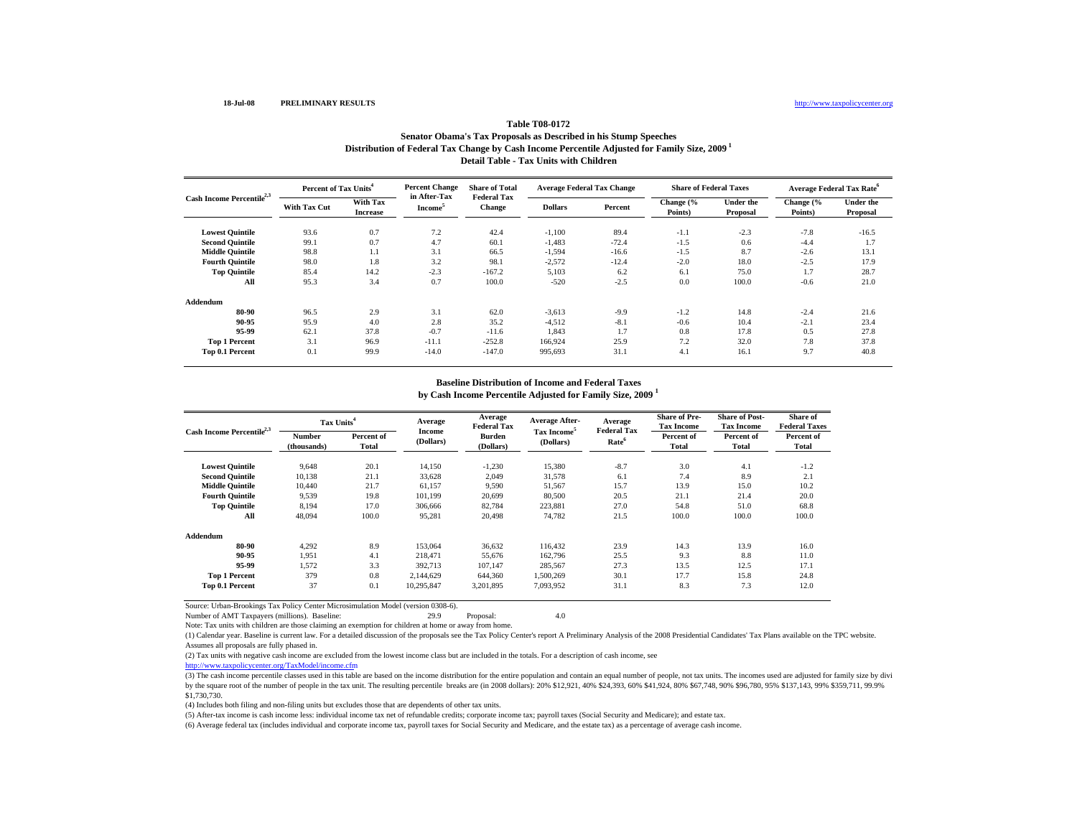## **Distribution of Federal Tax Change by Cash Income Percentile Adjusted for Family Size, 2009 1 Detail Table - Tax Units with ChildrenTable T08-0172Senator Obama's Tax Proposals as Described in his Stump Speeches**

| Cash Income Percentile <sup>2,3</sup> |              | Percent of Tax Units <sup>4</sup> |                                            | <b>Share of Total</b>               | <b>Average Federal Tax Change</b> |         | <b>Share of Federal Taxes</b> |                              | <b>Average Federal Tax Rate<sup>o</sup></b> |                              |
|---------------------------------------|--------------|-----------------------------------|--------------------------------------------|-------------------------------------|-----------------------------------|---------|-------------------------------|------------------------------|---------------------------------------------|------------------------------|
|                                       | With Tax Cut | With Tax<br><b>Increase</b>       | in After-Tax<br><b>Income</b> <sup>5</sup> | <b>Federal Tax</b><br><b>Change</b> | <b>Dollars</b>                    | Percent | Change (%<br>Points)          | <b>Under the</b><br>Proposal | Change (%<br>Points)                        | <b>Under the</b><br>Proposal |
| <b>Lowest Quintile</b>                | 93.6         | 0.7                               | 7.2                                        | 42.4                                | $-1,100$                          | 89.4    | $-1.1$                        | $-2.3$                       | $-7.8$                                      | $-16.5$                      |
| <b>Second Quintile</b>                | 99.1         | 0.7                               | 4.7                                        | 60.1                                | $-1,483$                          | $-72.4$ | $-1.5$                        | 0.6                          | $-4.4$                                      | 1.7                          |
| <b>Middle Quintile</b>                | 98.8         | 1.1                               | 3.1                                        | 66.5                                | $-1,594$                          | $-16.6$ | $-1.5$                        | 8.7                          | $-2.6$                                      | 13.1                         |
| <b>Fourth Quintile</b>                | 98.0         | 1.8                               | 3.2                                        | 98.1                                | $-2,572$                          | $-12.4$ | $-2.0$                        | 18.0                         | $-2.5$                                      | 17.9                         |
| <b>Top Quintile</b>                   | 85.4         | 14.2                              | $-2.3$                                     | $-167.2$                            | 5,103                             | 6.2     | 6.1                           | 75.0                         | 1.7                                         | 28.7                         |
| All                                   | 95.3         | 3.4                               | 0.7                                        | 100.0                               | $-520$                            | $-2.5$  | 0.0                           | 100.0                        | $-0.6$                                      | 21.0                         |
| Addendum                              |              |                                   |                                            |                                     |                                   |         |                               |                              |                                             |                              |
| 80-90                                 | 96.5         | 2.9                               | 3.1                                        | 62.0                                | $-3,613$                          | $-9.9$  | $-1.2$                        | 14.8                         | $-2.4$                                      | 21.6                         |
| 90-95                                 | 95.9         | 4.0                               | 2.8                                        | 35.2                                | $-4,512$                          | $-8.1$  | $-0.6$                        | 10.4                         | $-2.1$                                      | 23.4                         |
| 95-99                                 | 62.1         | 37.8                              | $-0.7$                                     | $-11.6$                             | 1,843                             | 1.7     | 0.8                           | 17.8                         | 0.5                                         | 27.8                         |
| <b>Top 1 Percent</b>                  | 3.1          | 96.9                              | $-11.1$                                    | $-252.8$                            | 166.924                           | 25.9    | 7.2                           | 32.0                         | 7.8                                         | 37.8                         |
| Top 0.1 Percent                       | 0.1          | 99.9                              | $-14.0$                                    | $-147.0$                            | 995,693                           | 31.1    | 4.1                           | 16.1                         | 9.7                                         | 40.8                         |

## **Baseline Distribution of Income and Federal Taxes**

**by Cash Income Percentile Adjusted for Family Size, 2009 <sup>1</sup>**

|                                       | Tax Units <sup>4</sup> |                     | Average             | Average<br><b>Federal Tax</b> | <b>Average After-</b>                | Average<br><b>Federal Tax</b> | <b>Share of Pre-</b><br><b>Tax Income</b> | <b>Share of Post-</b><br><b>Tax Income</b> | Share of<br><b>Federal Taxes</b> |
|---------------------------------------|------------------------|---------------------|---------------------|-------------------------------|--------------------------------------|-------------------------------|-------------------------------------------|--------------------------------------------|----------------------------------|
| Cash Income Percentile <sup>2,3</sup> | Number<br>(thousands)  | Percent of<br>Total | Income<br>(Dollars) | Burden<br>(Dollars)           | Tax Income <sup>5</sup><br>(Dollars) | Rate <sup>6</sup>             | Percent of<br>Total                       | Percent of<br>Total                        | Percent of<br>Total              |
| <b>Lowest Quintile</b>                | 9.648                  | 20.1                | 14,150              | $-1,230$                      | 15,380                               | $-8.7$                        | 3.0                                       | 4.1                                        | $-1.2$                           |
| <b>Second Quintile</b>                | 10,138                 | 21.1                | 33,628              | 2,049                         | 31,578                               | 6.1                           | 7.4                                       | 8.9                                        | 2.1                              |
| <b>Middle Ouintile</b>                | 10.440                 | 21.7                | 61,157              | 9,590                         | 51,567                               | 15.7                          | 13.9                                      | 15.0                                       | 10.2                             |
| <b>Fourth Quintile</b>                | 9,539                  | 19.8                | 101,199             | 20,699                        | 80,500                               | 20.5                          | 21.1                                      | 21.4                                       | 20.0                             |
| <b>Top Quintile</b>                   | 8,194                  | 17.0                | 306,666             | 82,784                        | 223,881                              | 27.0                          | 54.8                                      | 51.0                                       | 68.8                             |
| All                                   | 48.094                 | 100.0               | 95,281              | 20,498                        | 74,782                               | 21.5                          | 100.0                                     | 100.0                                      | 100.0                            |
| Addendum                              |                        |                     |                     |                               |                                      |                               |                                           |                                            |                                  |
| 80-90                                 | 4,292                  | 8.9                 | 153,064             | 36,632                        | 116.432                              | 23.9                          | 14.3                                      | 13.9                                       | 16.0                             |
| 90-95                                 | 1,951                  | 4.1                 | 218,471             | 55,676                        | 162,796                              | 25.5                          | 9.3                                       | 8.8                                        | 11.0                             |
| 95-99                                 | 1.572                  | 3.3                 | 392.713             | 107.147                       | 285,567                              | 27.3                          | 13.5                                      | 12.5                                       | 17.1                             |
| <b>Top 1 Percent</b>                  | 379                    | 0.8                 | 2,144,629           | 644,360                       | 1,500,269                            | 30.1                          | 17.7                                      | 15.8                                       | 24.8                             |
| Top 0.1 Percent                       | 37                     | 0.1                 | 10,295,847          | 3,201,895                     | 7,093,952                            | 31.1                          | 8.3                                       | 7.3                                        | 12.0                             |

Source: Urban-Brookings Tax Policy Center Microsimulation Model (version 0308-6). Number of AMT Taxpayers (millions). Baseline: 29.9 Proposal: 4.0

Note: Tax units with children are those claiming an exemption for children at home or away from home.

(1) Calendar year. Baseline is current law. For a detailed discussion of the proposals see the Tax Policy Center's report A Preliminary Analysis of the 2008 Presidential Candidates' Tax Plans available on the TPC website. Assumes all proposals are fully phased in.

(2) Tax units with negative cash income are excluded from the lowest income class but are included in the totals. For a description of cash income, see

http://www.taxpolicycenter.org/TaxModel/income.cfm

(3) The cash income percentile classes used in this table are based on the income distribution for the entire population and contain an equal number of people, not tax units. The incomes used are adjusted for family size b by the square root of the number of people in the tax unit. The resulting percentile breaks are (in 2008 dollars): 20% \$12,921, 40% \$24,393, 60% \$41,924, 80% \$67,748, 90% \$96,780, 95% \$137,143, 99% \$359,711, 99.9% \$1,730,730.

(4) Includes both filing and non-filing units but excludes those that are dependents of other tax units.

(5) After-tax income is cash income less: individual income tax net of refundable credits; corporate income tax; payroll taxes (Social Security and Medicare); and estate tax.